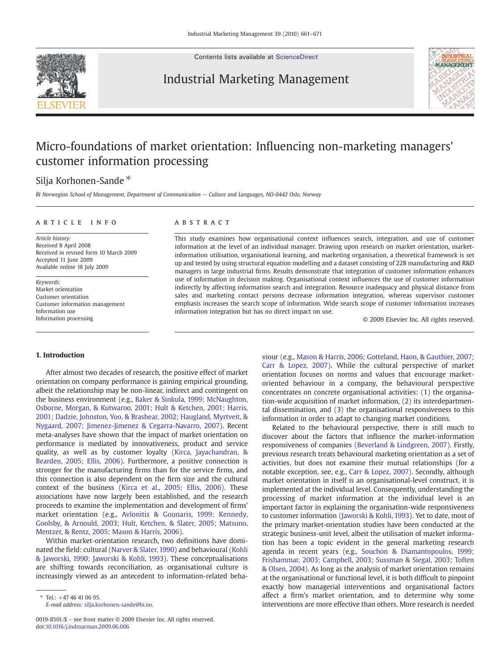

Contents lists available at [ScienceDirect](http://www.sciencedirect.com/science/journal/00198501)

## Industrial Marketing Management



# Micro-foundations of market orientation: Influencing non-marketing managers' customer information processing

## Silja Korhonen-Sande \*

BI Norwegian School of Management, Department of Communication — Culture and Languages, NO-0442 Oslo, Norway

### ARTICLE INFO ABSTRACT

Article history: Received 8 April 2008 Received in revised form 10 March 2009 Accepted 11 June 2009 Available online 18 July 2009

Keywords: Market orientation Customer orientation Customer information management Information use Information processing

This study examines how organisational context influences search, integration, and use of customer information at the level of an individual manager. Drawing upon research on market orientation, marketinformation utilisation, organisational learning, and marketing organisation, a theoretical framework is set up and tested by using structural equation modelling and a dataset consisting of 228 manufacturing and R&D managers in large industrial firms. Results demonstrate that integration of customer information enhances use of information in decision making. Organisational context influences the use of customer information indirectly by affecting information search and integration. Resource inadequacy and physical distance from sales and marketing contact persons decrease information integration, whereas supervisor customer emphasis increases the search scope of information. Wide search scope of customer information increases information integration but has no direct impact on use.

© 2009 Elsevier Inc. All rights reserved.

### 1. Introduction

After almost two decades of research, the positive effect of market orientation on company performance is gaining empirical grounding, albeit the relationship may be non-linear, indirect and contingent on the business environment (e.g., [Baker & Sinkula, 1999; McNaughton,](#page--1-0) [Osborne, Morgan, & Kutwaroo, 2001; Hult & Ketchen, 2001; Harris,](#page--1-0) [2001; Dadzie, Johnston, Yoo, & Brashear, 2002; Haugland, Myrtveit, &](#page--1-0) [Nygaard, 2007; Jimenez-Jimenez & Cegarra-Navarro, 2007](#page--1-0)). Recent meta-analyses have shown that the impact of market orientation on performance is mediated by innovativeness, product and service quality, as well as by customer loyalty ([Kirca, Jayachandran, &](#page--1-0) [Bearden, 2005; Ellis, 2006](#page--1-0)). Furthermore, a positive connection is stronger for the manufacturing firms than for the service firms, and this connection is also dependent on the firm size and the cultural context of the business ([Kirca et al., 2005; Ellis, 2006](#page--1-0)). These associations have now largely been established, and the research proceeds to examine the implementation and development of firms' market orientation (e.g., [Avlonitis & Gounaris, 1999; Kennedy,](#page--1-0) [Goolsby, & Arnould, 2003; Hult, Ketchen, & Slater, 2005; Matsuno,](#page--1-0) [Mentzer, & Rentz, 2005; Mason & Harris, 2006](#page--1-0)).

Within market-orientation research, two definitions have dominated the field: cultural ([Narver & Slater, 1990](#page--1-0)) and behavioural ([Kohli](#page--1-0) [& Jaworski, 1990; Jaworski & Kohli, 1993\)](#page--1-0). These conceptualisations are shifting towards reconciliation, as organisational culture is increasingly viewed as an antecedent to information-related behaviour (e.g., [Mason & Harris, 2006; Gotteland, Haon, & Gauthier, 2007;](#page--1-0) [Carr & Lopez, 2007](#page--1-0)). While the cultural perspective of market orientation focuses on norms and values that encourage marketoriented behaviour in a company, the behavioural perspective concentrates on concrete organisational activities: (1) the organisation-wide acquisition of market information, (2) its interdepartmental dissemination, and (3) the organisational responsiveness to this information in order to adapt to changing market conditions.

Related to the behavioural perspective, there is still much to discover about the factors that influence the market-information responsiveness of companies [\(Beverland & Lindgreen, 2007\)](#page--1-0). Firstly, previous research treats behavioural marketing orientation as a set of activities, but does not examine their mutual relationships (for a notable exception, see, e.g., [Carr & Lopez, 2007](#page--1-0)). Secondly, although market orientation in itself is an organisational-level construct, it is implemented at the individual level. Consequently, understanding the processing of market information at the individual level is an important factor in explaining the organisation-wide responsiveness to customer information ([Jaworski & Kohli, 1993\)](#page--1-0). Yet to date, most of the primary market-orientation studies have been conducted at the strategic business-unit level, albeit the utilisation of market information has been a topic evident in the general marketing research agenda in recent years (e.g., [Souchon & Diamantopoulos, 1999;](#page--1-0) [Frishammar, 2003; Campbell, 2003; Sussman & Siegal, 2003; Toften](#page--1-0) [& Olsen, 2004](#page--1-0)). As long as the analysis of market orientation remains at the organisational or functional level, it is both difficult to pinpoint exactly how managerial interventions and organisational factors affect a firm's market orientation, and to determine why some interventions are more effective than others. More research is needed

 $*$  Tel.:  $+4746410695$ . E-mail address: [silja.korhonen-sande@bi.no](mailto:silja.korhonen-sande@bi.no).

<sup>0019-8501/\$</sup> – see front matter © 2009 Elsevier Inc. All rights reserved. doi:[10.1016/j.indmarman.2009.06.006](http://dx.doi.org/10.1016/j.indmarman.2009.06.006)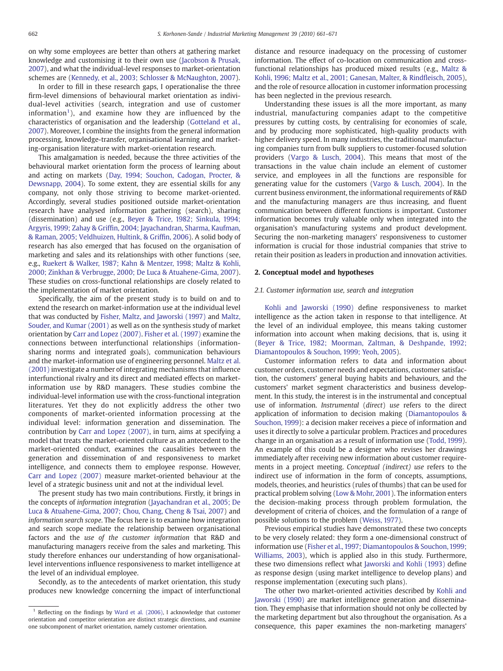on why some employees are better than others at gathering market knowledge and customising it to their own use [\(Jacobson & Prusak,](#page--1-0) [2007](#page--1-0)), and what the individual-level responses to market-orientation schemes are [\(Kennedy, et al., 2003; Schlosser & McNaughton, 2007\)](#page--1-0).

In order to fill in these research gaps, I operationalise the three firm-level dimensions of behavioural market orientation as individual-level activities (search, integration and use of customer information<sup>1</sup>), and examine how they are influenced by the characteristics of organisation and the leadership [\(Gotteland et al.,](#page--1-0) [2007](#page--1-0)). Moreover, I combine the insights from the general information processing, knowledge-transfer, organisational learning and marketing-organisation literature with market-orientation research.

This amalgamation is needed, because the three activities of the behavioural market orientation form the process of learning about and acting on markets ([Day, 1994; Souchon, Cadogan, Procter, &](#page--1-0) [Dewsnapp, 2004\)](#page--1-0). To some extent, they are essential skills for any company, not only those striving to become market-oriented. Accordingly, several studies positioned outside market-orientation research have analysed information gathering (search), sharing (dissemination) and use (e.g., [Beyer & Trice, 1982; Sinkula, 1994;](#page--1-0) Argyris, 1999; Zahay & Griffi[n, 2004; Jayachandran, Sharma, Kaufman,](#page--1-0) [& Raman, 2005; Veldhuizen, Hultink, & Grif](#page--1-0)fin, 2006). A solid body of research has also emerged that has focused on the organisation of marketing and sales and its relationships with other functions (see, e.g., [Ruekert & Walker, 1987; Kahn & Mentzer, 1998; Maltz & Kohli,](#page--1-0) [2000; Zinkhan & Verbrugge, 2000; De Luca & Atuahene-Gima, 2007](#page--1-0)). These studies on cross-functional relationships are closely related to the implementation of market orientation.

Specifically, the aim of the present study is to build on and to extend the research on market-information use at the individual level that was conducted by [Fisher, Maltz, and Jaworski \(1997\)](#page--1-0) and [Maltz,](#page--1-0) [Souder, and Kumar \(2001\)](#page--1-0) as well as on the synthesis study of market orientation by [Carr and Lopez \(2007\)](#page--1-0). [Fisher et al. \(1997\)](#page--1-0) examine the connections between interfunctional relationships (informationsharing norms and integrated goals), communication behaviours and the market-information use of engineering personnel. [Maltz et al.](#page--1-0) [\(2001\)](#page--1-0) investigate a number of integrating mechanisms that influence interfunctional rivalry and its direct and mediated effects on marketinformation use by R&D managers. These studies combine the individual-level information use with the cross-functional integration literatures. Yet they do not explicitly address the other two components of market-oriented information processing at the individual level: information generation and dissemination. The contribution by [Carr and Lopez \(2007\),](#page--1-0) in turn, aims at specifying a model that treats the market-oriented culture as an antecedent to the market-oriented conduct, examines the causalities between the generation and dissemination of and responsiveness to market intelligence, and connects them to employee response. However, [Carr and Lopez \(2007\)](#page--1-0) measure market-oriented behaviour at the level of a strategic business unit and not at the individual level.

The present study has two main contributions. Firstly, it brings in the concepts of information integration ([Jayachandran et al., 2005; De](#page--1-0) [Luca & Atuahene-Gima, 2007; Chou, Chang, Cheng & Tsai, 2007](#page--1-0)) and information search scope. The focus here is to examine how integration and search scope mediate the relationship between organisational factors and the use of the customer information that R&D and manufacturing managers receive from the sales and marketing. This study therefore enhances our understanding of how organisationallevel interventions influence responsiveness to market intelligence at the level of an individual employee.

Secondly, as to the antecedents of market orientation, this study produces new knowledge concerning the impact of interfunctional distance and resource inadequacy on the processing of customer information. The effect of co-location on communication and crossfunctional relationships has produced mixed results (e.g., [Maltz &](#page--1-0) [Kohli, 1996; Maltz et al., 2001; Ganesan, Malter, & Rind](#page--1-0)fleisch, 2005), and the role of resource allocation in customer information processing has been neglected in the previous research.

Understanding these issues is all the more important, as many industrial, manufacturing companies adapt to the competitive pressures by cutting costs, by centralising for economies of scale, and by producing more sophisticated, high-quality products with higher delivery speed. In many industries, the traditional manufacturing companies turn from bulk suppliers to customer-focused solution providers ([Vargo & Lusch, 2004](#page--1-0)). This means that most of the transactions in the value chain include an element of customer service, and employees in all the functions are responsible for generating value for the customers ([Vargo & Lusch, 2004\)](#page--1-0). In the current business environment, the informational requirements of R&D and the manufacturing managers are thus increasing, and fluent communication between different functions is important. Customer information becomes truly valuable only when integrated into the organisation's manufacturing systems and product development. Securing the non-marketing managers' responsiveness to customer information is crucial for those industrial companies that strive to retain their position as leaders in production and innovation activities.

### 2. Conceptual model and hypotheses

### 2.1. Customer information use, search and integration

[Kohli and Jaworski \(1990\)](#page--1-0) define responsiveness to market intelligence as the action taken in response to that intelligence. At the level of an individual employee, this means taking customer information into account when making decisions, that is, using it [\(Beyer & Trice, 1982; Moorman, Zaltman, & Deshpande, 1992;](#page--1-0) [Diamantopoulos & Souchon, 1999; Yeoh, 2005\)](#page--1-0).

Customer information refers to data and information about customer orders, customer needs and expectations, customer satisfaction, the customers' general buying habits and behaviours, and the customers' market segment characteristics and business development. In this study, the interest is in the instrumental and conceptual use of information. Instrumental (direct) use refers to the direct application of information to decision making ([Diamantopoulos &](#page--1-0) [Souchon, 1999\)](#page--1-0): a decision maker receives a piece of information and uses it directly to solve a particular problem. Practices and procedures change in an organisation as a result of information use [\(Todd, 1999](#page--1-0)). An example of this could be a designer who revises her drawings immediately after receiving new information about customer requirements in a project meeting. Conceptual (indirect) use refers to the indirect use of information in the form of concepts, assumptions, models, theories, and heuristics (rules of thumbs) that can be used for practical problem solving ([Low & Mohr, 2001](#page--1-0)). The information enters the decision-making process through problem formulation, the development of criteria of choices, and the formulation of a range of possible solutions to the problem [\(Weiss, 1977\)](#page--1-0).

Previous empirical studies have demonstrated these two concepts to be very closely related: they form a one-dimensional construct of information use [\(Fisher et al., 1997; Diamantopoulos & Souchon, 1999;](#page--1-0) [Williams, 2003](#page--1-0)), which is applied also in this study. Furthermore, these two dimensions reflect what [Jaworski and Kohli \(1993\)](#page--1-0) define as response design (using market intelligence to develop plans) and response implementation (executing such plans).

The other two market-oriented activities described by [Kohli and](#page--1-0) [Jaworski \(1990\)](#page--1-0) are market intelligence generation and dissemination. They emphasise that information should not only be collected by the marketing department but also throughout the organisation. As a consequence, this paper examines the non-marketing managers'

 $1$  Reflecting on the findings by [Ward et al. \(2006\),](#page--1-0) I acknowledge that customer orientation and competitor orientation are distinct strategic directions, and examine one subcomponent of market orientation, namely customer orientation.